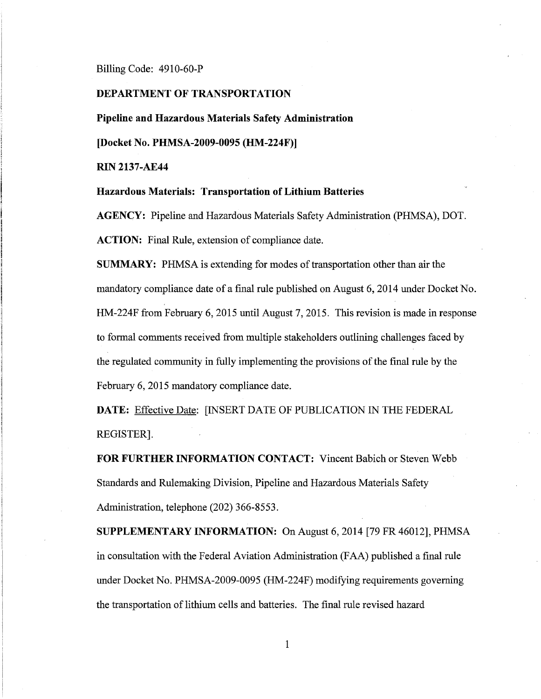Billing Code: 4910-60-P

## **DEPARTMENT OF TRANSPORTATION**

**Pipeline and Hazardous Materials Safety Administration** 

**[Docket No. PHMSA-2009-0095 (HM-224F)]** 

**RIN 2137-AE44** 

**Hazardous Materials: Transportation of Lithium Batteries** 

**AGENCY:** Pipeline and Hazardous Materials Safety Administration (PHMSA), DOT. **ACTION:** Final Rule, extension of compliance date.

**SUMMARY:** PHMSA is extending for modes of transportation other than air the mandatory compliance date of a final rule published on August 6, 2014 under Docket No. HM-224F from February 6, 2015 until August 7, 2015. This revision is made in response to formal comments received from multiple stakeholders outlining challenges faced by the regulated community in fully implementing the provisions of the final rule by the February 6, 2015 mandatory compliance date.

**DATE:** Effective Date: [INSERT DATE OF PUBLICATION IN THE FEDERAL REGISTER].

**FOR FURTHER INFORMATION CONTACT:** Vincent Babich or Steven Webb Standards and Rulemaking Division, Pipeline and Hazardous Materials Safety Administration, telephone (202) 366-8553.

**SUPPLEMENTARY INFORMATION:** On August 6, 2014 [79 FR 46012], PHMSA in consultation with the Federal Aviation Administration (FAA) published a final rule under Docket No. PHMSA-2009-0095 (HM-224F) modifying requirements governing the transportation of lithium cells and batteries. The final rule revised hazard

1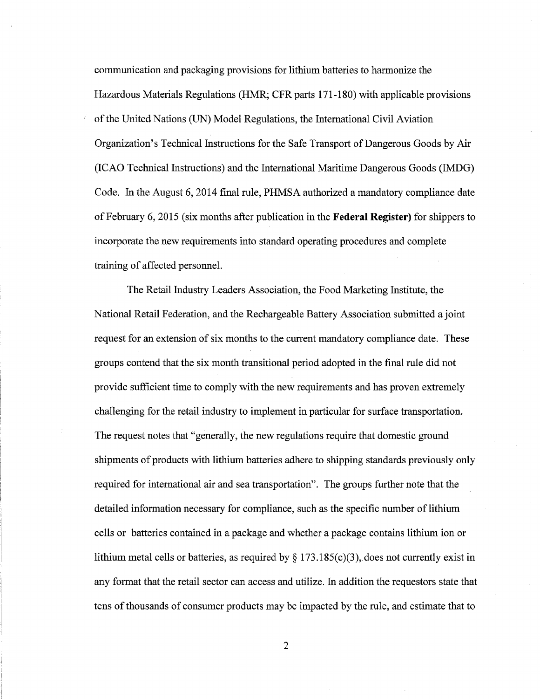communication and packaging provisions for lithium batteries to harmonize the Hazardous Materials Regulations (HMR; CFR parts 171-180) with applicable provisions of the United Nations (UN) Model Regulations, the International Civil Aviation Organization's Technical Instructions for the Safe Transport of Dangerous Goods by Air (ICAO Technical Instructions) and the International Maritime Dangerous Goods (IMDG) Code. In the August 6, 2014 final rule, PHMSA authorized a mandatory compliance date of February 6, 2015 (six months after publication in the **Federal Register)** for shippers to incorporate the new requirements into standard operating procedures and complete training of affected personnel.

The Retail Industry Leaders Association, the Food Marketing Institute, the National Retail Federation, and the Rechargeable Battery Association submitted a joint request for an extension of six months to the current mandatory compliance date. These groups contend that the six month transitional period adopted in the final rule did not provide sufficient time to comply with the new requirements and has proven extremely challenging for the retail industry to implement in particular for surface transportation. The request notes that "generally, the new regulations require that domestic ground shipments of products with lithium batteries adhere to shipping standards previously only required for international air and sea transportation". The groups further note that the detailed information necessary for compliance, such as the specific number of lithium cells or batteries contained in a package and whether a package contains lithium ion or lithium metal cells or batteries, as required by  $\S 173.185(c)(3)$ , does not currently exist in any format that the retail sector can access and utilize. In addition the requestors state that tens of thousands of consumer products may be impacted by the rule, and estimate that to

2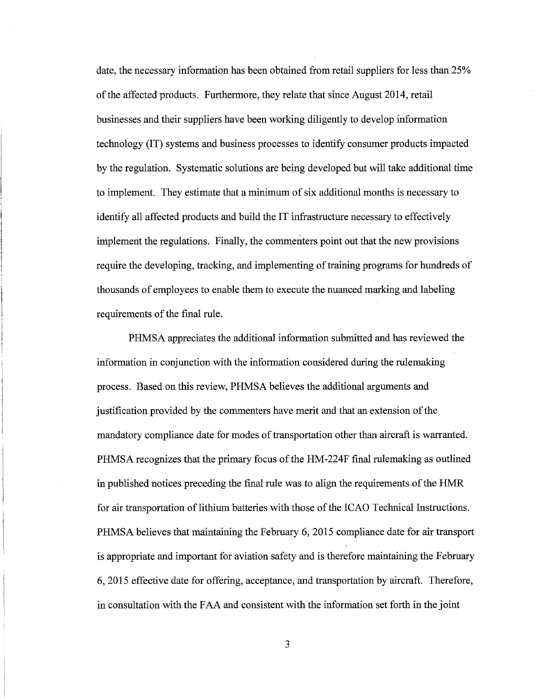date, the necessary information has been obtained from retail suppliers for less than 25% ofthe affected products. Furthermore, they relate that since August 2014, retail businesses and their suppliers have been working diligently to develop information technology (IT) systems and business processes to identify consumer products impacted by the regulation. Systematic solutions are being developed but will take additional time to implement. They estimate that a minimum of six additional months is necessary to identify all affected products and build the IT infrastructure necessary to effectively implement the regulations. Finally, the commenters point out that the new provisions require the developing, tracking, and implementing of training programs for hundreds of thousands of employees to enable them to execute the nuanced marking and labeling requirements of the final rule.

PHMSA appreciates the additional information submitted and has reviewed the information in conjunction with the information considered during the rulemaking process. Based on this review, PHMSA believes the additional arguments and justification provided by the commenters have merit and that an extension of the mandatory compliance date for modes of transportation other than aircraft is warranted. PHMSA recognizes that the primary focus of the HM-224F final rulemaking as outlined in published notices preceding the final rule was to align the requirements of the HMR for air transportation of lithium batteries with those of the ICAO Technical Instructions. PHMSA believes that maintaining the February 6, 2015 compliance date for air transport is appropriate and important for aviation safety and is therefore maintaining the February 6, 2015 effective date for offering, acceptance, and transportation by aircraft. Therefore, in consultation with the FAA and consistent with the information set forth in the joint

3